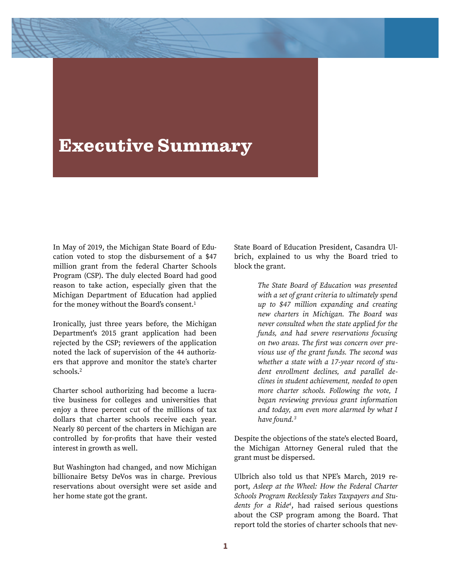## Executive Summary

In May of 2019, the Michigan State Board of Education voted to stop the disbursement of a \$47 million grant from the federal Charter Schools Program (CSP). The duly elected Board had good reason to take action, especially given that the Michigan Department of Education had applied for the money without the Board's consent.<sup>1</sup>

Ironically, just three years before, the Michigan Department's 2015 grant application had been rejected by the CSP; reviewers of the application noted the lack of supervision of the 44 authorizers that approve and monitor the state's charter schools.2

Charter school authorizing had become a lucrative business for colleges and universities that enjoy a three percent cut of the millions of tax dollars that charter schools receive each year. Nearly 80 percent of the charters in Michigan are controlled by for-profits that have their vested interest in growth as well.

But Washington had changed, and now Michigan billionaire Betsy DeVos was in charge. Previous reservations about oversight were set aside and her home state got the grant.

State Board of Education President, Casandra Ulbrich, explained to us why the Board tried to block the grant.

> *The State Board of Education was presented with a set of grant criteria to ultimately spend up to \$47 million expanding and creating new charters in Michigan. The Board was never consulted when the state applied for the funds, and had severe reservations focusing on two areas. The* fi*rst was concern over previous use of the grant funds. The second was whether a state with a 17-year record of student enrollment declines, and parallel declines in student achievement, needed to open more charter schools. Following the vote, I began reviewing previous grant information and today, am even more alarmed by what I have found.3*

Despite the objections of the state's elected Board, the Michigan Attorney General ruled that the grant must be dispersed.

Ulbrich also told us that NPE's March, 2019 report, *Asleep at the Wheel: How the Federal Charter Schools Program Recklessly Takes Taxpayers and Students for a Ride<sup>4</sup>*, had raised serious questions about the CSP program among the Board. That report told the stories of charter schools that nev-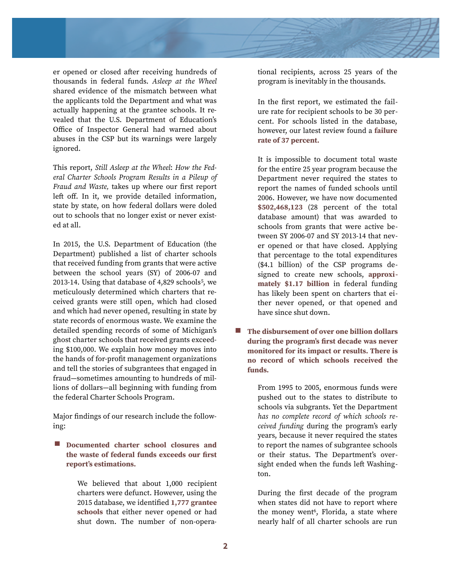

er opened or closed afer receiving hundreds of thousands in federal funds. *Asleep at the Wheel* shared evidence of the mismatch between what the applicants told the Department and what was actually happening at the grantee schools. It revealed that the U.S. Department of Education's Office of Inspector General had warned about abuses in the CSP but its warnings were largely ignored.

This report, *Still Asleep at the Wheel*: *How the Federal Charter Schools Program Results in a Pileup of Fraud and Waste,* takes up where our first report left off. In it, we provide detailed information, state by state, on how federal dollars were doled out to schools that no longer exist or never existed at all.

In 2015, the U.S. Department of Education (the Department) published a list of charter schools that received funding from grants that were active between the school years (SY) of 2006-07 and 2013-14. Using that database of  $4,829$  schools<sup>5</sup>, we meticulously determined which charters that received grants were still open, which had closed and which had never opened, resulting in state by state records of enormous waste. We examine the detailed spending records of some of Michigan's ghost charter schools that received grants exceeding \$100,000. We explain how money moves into the hands of for-profit management organizations and tell the stories of subgrantees that engaged in fraud—sometimes amounting to hundreds of millions of dollars—all beginning with funding from the federal Charter Schools Program.

Major findings of our research include the following:

 $\sim$ **Documented charter school closures and the waste of federal funds exceeds our first report's estimations.**

> We believed that about 1,000 recipient charters were defunct. However, using the 2015 database, we identified **1,777 grantee schools** that either never opened or had shut down. The number of non-opera

tional recipients, across 25 years of the program is inevitably in the thousands.

In the first report, we estimated the failure rate for recipient schools to be 30 percent. For schools listed in the database, however, our latest review found a **failure rate of 37 percent.** 

It is impossible to document total waste for the entire 25 year program because the Department never required the states to report the names of funded schools until 2006. However, we have now documented **\$502,468,123** (28 percent of the total database amount) that was awarded to schools from grants that were active between SY 2006-07 and SY 2013-14 that never opened or that have closed. Applying that percentage to the total expenditures (\$4.1 billion) of the CSP programs designed to create new schools, **approximately \$1.17 billion** in federal funding has likely been spent on charters that either never opened, or that opened and have since shut down.

■ The disbursement of over one billion dollars **during the program's first decade was never monitored for its impact or results. There is no record of which schools received the funds.** 

> From 1995 to 2005, enormous funds were pushed out to the states to distribute to schools via subgrants. Yet the Department *has no complete record of which schools received funding* during the program's early years, because it never required the states to report the names of subgrantee schools or their status. The Department's oversight ended when the funds left Washington.

> During the first decade of the program when states did not have to report where the money went<sup>6</sup>, Florida, a state where nearly half of all charter schools are run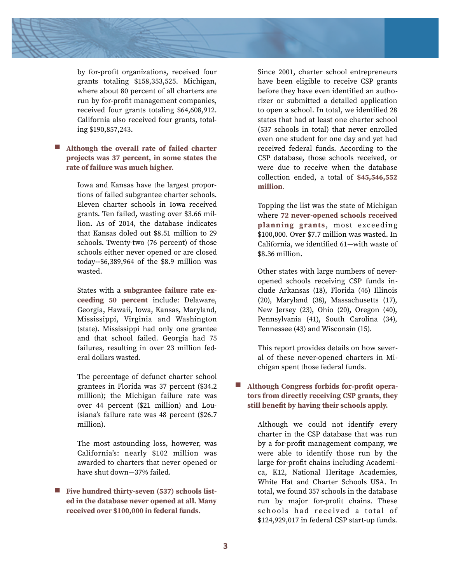

by for-profit organizations, received four grants totaling \$158,353,525. Michigan, where about 80 percent of all charters are run by for-profit management companies, received four grants totaling \$64,608,912. California also received four grants, totaling \$190,857,243.

## ■ Although the overall rate of failed charter **projects was 37 percent, in some states the rate of failure was much higher.**

Iowa and Kansas have the largest proportions of failed subgrantee charter schools. Eleven charter schools in Iowa received grants. Ten failed, wasting over \$3.66 million. As of 2014, the database indicates that Kansas doled out \$8.51 million to 29 schools. Twenty-two (76 percent) of those schools either never opened or are closed today**--**\$6,389,964 of the \$8.9 million was wasted.

States with a **subgrantee failure rate exceeding 50 percent** include: Delaware, Georgia, Hawaii, Iowa, Kansas, Maryland, Mississippi, Virginia and Washington (state). Mississippi had only one grantee and that school failed. Georgia had 75 failures, resulting in over 23 million federal dollars wasted.

The percentage of defunct charter school grantees in Florida was 37 percent (\$34.2 million); the Michigan failure rate was over 44 percent (\$21 million) and Louisiana's failure rate was 48 percent (\$26.7 million).

The most astounding loss, however, was California's: nearly \$102 million was awarded to charters that never opened or have shut down—37% failed.

■ Five hundred thirty-seven (537) schools list**ed in the database never opened at all. Many received over \$100,000 in federal funds.** 

Since 2001, charter school entrepreneurs have been eligible to receive CSP grants before they have even identified an authorizer or submitted a detailed application to open a school. In total, we identified 28 states that had at least one charter school (537 schools in total) that never enrolled even one student for one day and yet had received federal funds. According to the CSP database, those schools received, or were due to receive when the database collection ended, a total of **\$45,546,552 million***.* 

Topping the list was the state of Michigan where **72 never-opened schools received**  planning grants, most exceeding \$100,000. Over \$7.7 million was wasted. In California, we identified 61—with waste of \$8.36 million.

Other states with large numbers of neveropened schools receiving CSP funds include Arkansas (18), Florida (46) Illinois (20), Maryland (38), Massachusetts (17), New Jersey (23), Ohio (20), Oregon (40), Pennsylvania (41), South Carolina (34), Tennessee (43) and Wisconsin (15).

This report provides details on how several of these never-opened charters in Michigan spent those federal funds.

## **Although Congress forbids for-profit operators from directly receiving CSP grants, they still benefit by having their schools apply.**

Although we could not identify every charter in the CSP database that was run by a for-profit management company, we were able to identify those run by the large for-profit chains including Academica, K12, National Heritage Academies, White Hat and Charter Schools USA. In total, we found 357 schools in the database run by major for-profit chains. These schools had received a total of \$124,929,017 in federal CSP start-up funds.